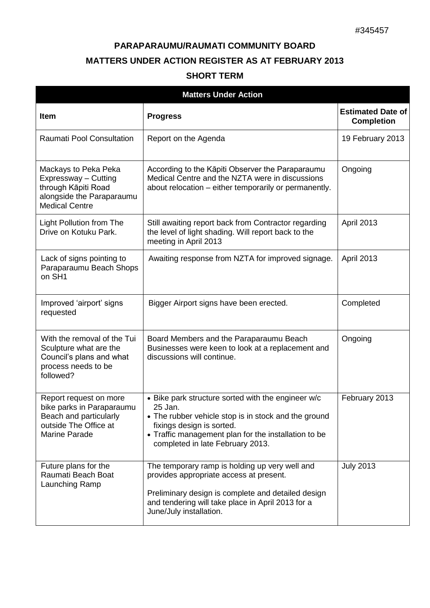## **PARAPARAUMU/RAUMATI COMMUNITY BOARD MATTERS UNDER ACTION REGISTER AS AT FEBRUARY 2013**

## **SHORT TERM**

| <b>Matters Under Action</b>                                                                                               |                                                                                                                                                                                                                                                |                                               |  |  |
|---------------------------------------------------------------------------------------------------------------------------|------------------------------------------------------------------------------------------------------------------------------------------------------------------------------------------------------------------------------------------------|-----------------------------------------------|--|--|
| <b>Item</b>                                                                                                               | <b>Progress</b>                                                                                                                                                                                                                                | <b>Estimated Date of</b><br><b>Completion</b> |  |  |
| Raumati Pool Consultation                                                                                                 | Report on the Agenda                                                                                                                                                                                                                           | 19 February 2013                              |  |  |
| Mackays to Peka Peka<br>Expressway - Cutting<br>through Kāpiti Road<br>alongside the Paraparaumu<br><b>Medical Centre</b> | According to the Kāpiti Observer the Paraparaumu<br>Medical Centre and the NZTA were in discussions<br>about relocation – either temporarily or permanently.                                                                                   | Ongoing                                       |  |  |
| <b>Light Pollution from The</b><br>Drive on Kotuku Park.                                                                  | Still awaiting report back from Contractor regarding<br>the level of light shading. Will report back to the<br>meeting in April 2013                                                                                                           | April 2013                                    |  |  |
| Lack of signs pointing to<br>Paraparaumu Beach Shops<br>on SH1                                                            | Awaiting response from NZTA for improved signage.                                                                                                                                                                                              | April 2013                                    |  |  |
| Improved 'airport' signs<br>requested                                                                                     | Bigger Airport signs have been erected.                                                                                                                                                                                                        | Completed                                     |  |  |
| With the removal of the Tui<br>Sculpture what are the<br>Council's plans and what<br>process needs to be<br>followed?     | Board Members and the Paraparaumu Beach<br>Businesses were keen to look at a replacement and<br>discussions will continue.                                                                                                                     | Ongoing                                       |  |  |
| Report request on more<br>bike parks in Paraparaumu<br>Beach and particularly<br>outside The Office at<br>Marine Parade   | • Bike park structure sorted with the engineer w/c<br>25 Jan.<br>• The rubber vehicle stop is in stock and the ground<br>fixings design is sorted.<br>• Traffic management plan for the installation to be<br>completed in late February 2013. | February 2013                                 |  |  |
| Future plans for the<br>Raumati Beach Boat<br>Launching Ramp                                                              | The temporary ramp is holding up very well and<br>provides appropriate access at present.<br>Preliminary design is complete and detailed design<br>and tendering will take place in April 2013 for a<br>June/July installation.                | <b>July 2013</b>                              |  |  |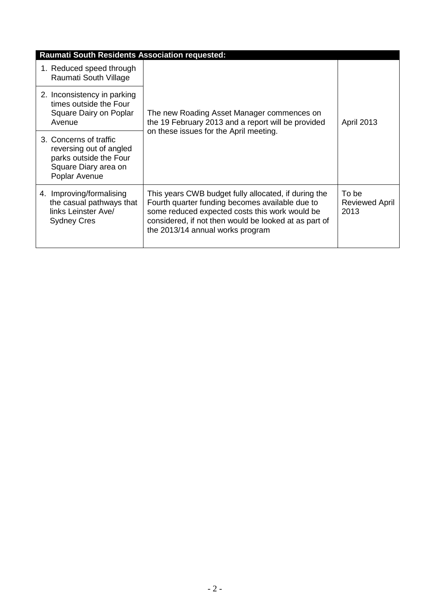| <b>Raumati South Residents Association requested:</b>                                                                |                                                                                                                                                                                                                                                        |                                        |  |
|----------------------------------------------------------------------------------------------------------------------|--------------------------------------------------------------------------------------------------------------------------------------------------------------------------------------------------------------------------------------------------------|----------------------------------------|--|
| 1. Reduced speed through<br>Raumati South Village                                                                    | The new Roading Asset Manager commences on<br>the 19 February 2013 and a report will be provided<br>on these issues for the April meeting.                                                                                                             | <b>April 2013</b>                      |  |
| 2. Inconsistency in parking<br>times outside the Four<br>Square Dairy on Poplar<br>Avenue                            |                                                                                                                                                                                                                                                        |                                        |  |
| 3. Concerns of traffic<br>reversing out of angled<br>parks outside the Four<br>Square Diary area on<br>Poplar Avenue |                                                                                                                                                                                                                                                        |                                        |  |
| 4. Improving/formalising<br>the casual pathways that<br>links Leinster Ave/<br><b>Sydney Cres</b>                    | This years CWB budget fully allocated, if during the<br>Fourth quarter funding becomes available due to<br>some reduced expected costs this work would be<br>considered, if not then would be looked at as part of<br>the 2013/14 annual works program | To be<br><b>Reviewed April</b><br>2013 |  |